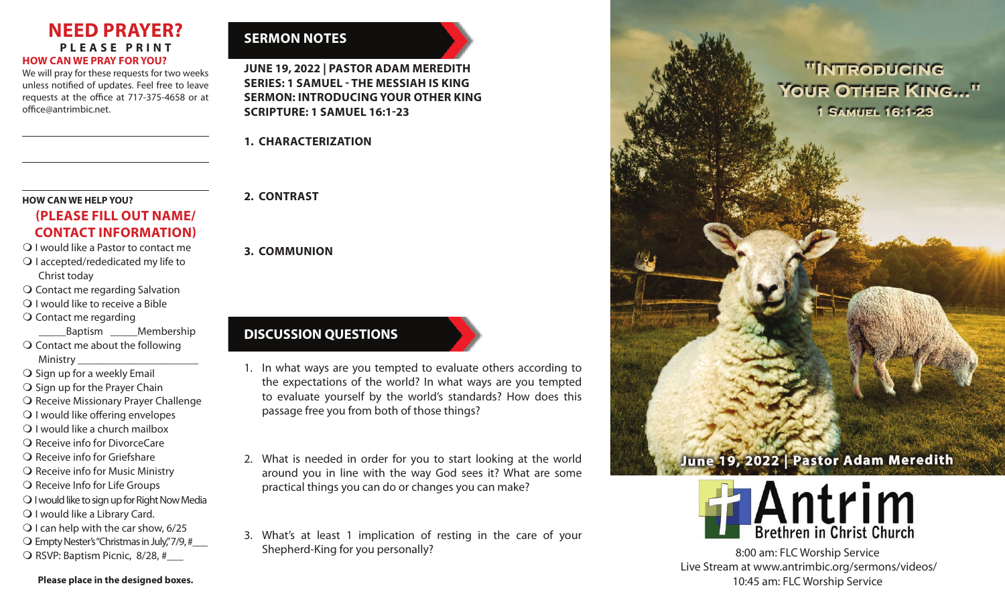#### **NEED PRAYER? PLEASE PRINT HOW CAN WE PRAY FOR YOU?**

We will pray for these requests for two weeks unless notified of updates. Feel free to leave requests at the office at 717-375-4658 or at office@antrimbic.net.

#### **HOW CAN WE HELP YOU?**

### **(PLEASE FILL OUT NAME/ CONTACT INFORMATION)**

- **Q** I would like a Pastor to contact me O I accepted/rededicated my life to Christ today
- **O** Contact me regarding Salvation
- $\bigcirc$  I would like to receive a Bible
- $\bigcirc$  Contact me regarding

 \_\_\_\_\_Baptism \_\_\_\_\_Membership  $\bigcirc$  Contact me about the following Ministry \_\_\_\_\_\_\_\_\_\_\_\_\_\_\_\_\_\_\_\_\_\_

- $\bigcirc$  Sign up for a weekly Email
- $\bigcirc$  Sign up for the Prayer Chain
- **O** Receive Missionary Prayer Challenge
- $\bigcirc$  I would like offering envelopes
- $\bigcirc$  I would like a church mailbox
- O Receive info for DivorceCare
- $\Omega$  Receive info for Griefshare
- $\bigcirc$  Receive info for Music Ministry
- $\overline{O}$  Receive Info for Life Groups
- O I would like to sign up for Right Now Media
- O I would like a Library Card.
- $\bigcirc$  I can help with the car show, 6/25
- $\bigcirc$  Empty Nester's "Christmas in July," 7/9, #
- $\bigcirc$  RSVP: Baptism Picnic, 8/28, #

### **Please place in the designed boxes.**

# **SERMON NOTES**

**JUNE 19, 2022 | PASTOR ADAM MEREDITH SERIES: 1 SAMUEL - THE MESSIAH IS KING SERMON: INTRODUCING YOUR OTHER KING SCRIPTURE: 1 SAMUEL 16:1-23**

**1. CHARACTERIZATION**

### **2. CONTRAST**

**3. COMMUNION**

# **DISCUSSION QUESTIONS**

- 1. In what ways are you tempted to evaluate others according to the expectations of the world? In what ways are you tempted to evaluate yourself by the world's standards? How does this passage free you from both of those things?
- 2. What is needed in order for you to start looking at the world around you in line with the way God sees it? What are some practical things you can do or changes you can make?
- 3. What's at least 1 implication of resting in the care of your Shepherd-King for you personally?

# "INTRODUCING YOUR OTHER KING..." 1 SAMUEL 16:1-23

# June 19, 2022 | Pastor Adam Meredith



8:00 am: FLC Worship Service Live Stream at www.antrimbic.org/sermons/videos/ 10:45 am: FLC Worship Service